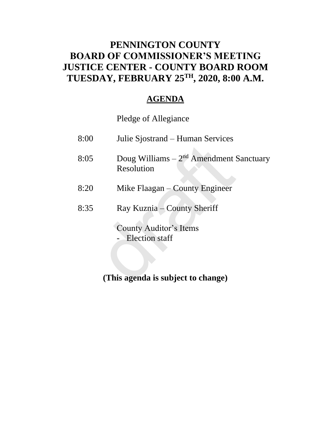## **PENNINGTON COUNTY BOARD OF COMMISSIONER'S MEETING JUSTICE CENTER - COUNTY BOARD ROOM TUESDAY, FEBRUARY 25TH , 2020, 8:00 A.M.**

### **AGENDA**

Pledge of Allegiance

| 8:05 | Doug Williams $-2nd$ Amendment Sanctuary<br>Resolution |
|------|--------------------------------------------------------|
|      |                                                        |
| 8:20 | Mike Flaagan – County Engineer                         |
| 8:35 | Ray Kuznia – County Sheriff                            |
|      | <b>County Auditor's Items</b>                          |
|      | - Election staff                                       |
|      |                                                        |
|      |                                                        |
|      | (This agenda is subject to change)                     |

## **(This agenda is subject to change)**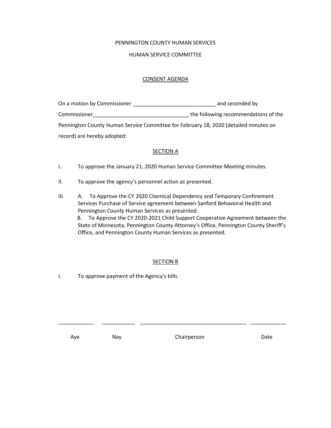#### PENNINGTON COUNTY HUMAN SERVICES

#### HUMAN SERVICE COMMITTEE

#### CONSENT AGENDA

| On a motion by Commissioner                                                          | and seconded by                        |
|--------------------------------------------------------------------------------------|----------------------------------------|
| Commissioner                                                                         | , the following recommendations of the |
| Pennington County Human Service Committee for February 18, 2020 (detailed minutes on |                                        |
| record) are hereby adopted:                                                          |                                        |

#### **SECTION A**

- I. To approve the January 21, 2020 Human Service Committee Meeting minutes.
- II. To approve the agency's personnel action as presented.
- III. A. To Approve the CY 2020 Chemical Dependency and Temporary Confinement Services Purchase of Service agreement between Sanford Behavioral Health and Pennington County Human Services as presented. B. To Approve the CY 2020-2021 Child Support Cooperative Agreement between the State of Minnesota, Pennington County Attorney's Office, Pennington County Sheriff's Office, and Pennington County Human Services as presented.

#### SECTION B

\_\_\_\_\_\_\_\_\_\_\_\_ \_\_\_\_\_\_\_\_\_\_\_ \_\_\_\_\_\_\_\_\_\_\_\_\_\_\_\_\_\_\_\_\_\_\_\_\_\_\_\_\_\_\_\_\_\_\_\_ \_\_\_\_\_\_\_\_\_\_\_\_

I. To approve payment of the Agency's bills.

Aye May Nay Chairperson Date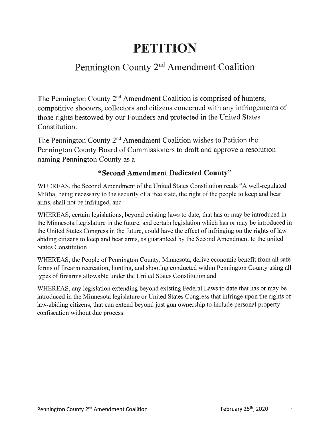# **PETITION**

## Pennington County 2<sup>nd</sup> Amendment Coalition

The Pennington County 2<sup>nd</sup> Amendment Coalition is comprised of hunters, competitive shooters, collectors and citizens concerned with any infringements of those rights bestowed by our Founders and protected in the United States Constitution.

The Pennington County 2<sup>nd</sup> Amendment Coalition wishes to Petition the Pennington County Board of Commissioners to draft and approve a resolution naming Pennington County as a

### "Second Amendment Dedicated County"

WHEREAS, the Second Amendment of the United States Constitution reads "A well-regulated Militia, being necessary to the security of a free state, the right of the people to keep and bear arms, shall not be infringed, and

WHEREAS, certain legislations, beyond existing laws to date, that has or may be introduced in the Minnesota Legislature in the future, and certain legislation which has or may be introduced in the United States Congress in the future, could have the effect of infringing on the rights of law abiding citizens to keep and bear arms, as guaranteed by the Second Amendment to the united **States Constitution** 

WHEREAS, the People of Pennington County, Minnesota, derive economic benefit from all safe forms of firearm recreation, hunting, and shooting conducted within Pennington County using all types of firearms allowable under the United States Constitution and

WHEREAS, any legislation extending beyond existing Federal Laws to date that has or may be introduced in the Minnesota legislature or United States Congress that infringe upon the rights of law-abiding citizens, that can extend beyond just gun ownership to include personal property confiscation without due process.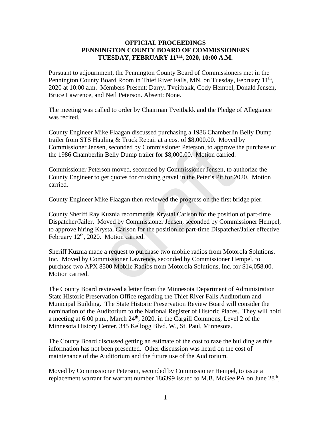#### **OFFICIAL PROCEEDINGS PENNINGTON COUNTY BOARD OF COMMISSIONERS TUESDAY, FEBRUARY 11TH, 2020, 10:00 A.M.**

Pursuant to adjournment, the Pennington County Board of Commissioners met in the Pennington County Board Room in Thief River Falls, MN, on Tuesday, February 11<sup>th</sup>, 2020 at 10:00 a.m. Members Present: Darryl Tveitbakk, Cody Hempel, Donald Jensen, Bruce Lawrence, and Neil Peterson. Absent: None.

The meeting was called to order by Chairman Tveitbakk and the Pledge of Allegiance was recited.

County Engineer Mike Flaagan discussed purchasing a 1986 Chamberlin Belly Dump trailer from STS Hauling & Truck Repair at a cost of \$8,000.00. Moved by Commissioner Jensen, seconded by Commissioner Peterson, to approve the purchase of the 1986 Chamberlin Belly Dump trailer for \$8,000.00. Motion carried.

Commissioner Peterson moved, seconded by Commissioner Jensen, to authorize the County Engineer to get quotes for crushing gravel in the Peter's Pit for 2020. Motion carried.

County Engineer Mike Flaagan then reviewed the progress on the first bridge pier.

County Sheriff Ray Kuznia recommends Krystal Carlson for the position of part-time Dispatcher/Jailer. Moved by Commissioner Jensen, seconded by Commissioner Hempel, to approve hiring Krystal Carlson for the position of part-time Dispatcher/Jailer effective February 12<sup>th</sup>, 2020. Motion carried. msen, seconded by Commissioner Peterson, to approve<br>rlin Belly Dump trailer for \$8,000.00. Motion carried.<br>terson moved, seconded by Commissioner Jensen, to approve<br>terson moved, seconded by Commissioner Jensen, to a<br>to ge

Sheriff Kuznia made a request to purchase two mobile radios from Motorola Solutions, Inc. Moved by Commissioner Lawrence, seconded by Commissioner Hempel, to purchase two APX 8500 Mobile Radios from Motorola Solutions, Inc. for \$14,058.00. Motion carried.

The County Board reviewed a letter from the Minnesota Department of Administration State Historic Preservation Office regarding the Thief River Falls Auditorium and Municipal Building. The State Historic Preservation Review Board will consider the nomination of the Auditorium to the National Register of Historic Places. They will hold a meeting at 6:00 p.m., March  $24<sup>th</sup>$ , 2020, in the Cargill Commons, Level 2 of the Minnesota History Center, 345 Kellogg Blvd. W., St. Paul, Minnesota.

The County Board discussed getting an estimate of the cost to raze the building as this information has not been presented. Other discussion was heard on the cost of maintenance of the Auditorium and the future use of the Auditorium.

Moved by Commissioner Peterson, seconded by Commissioner Hempel, to issue a replacement warrant for warrant number 186399 issued to M.B. McGee PA on June  $28<sup>th</sup>$ ,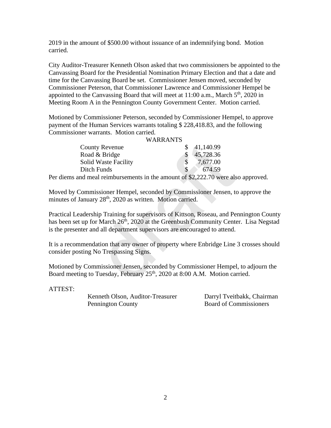2019 in the amount of \$500.00 without issuance of an indemnifying bond. Motion carried.

City Auditor-Treasurer Kenneth Olson asked that two commissioners be appointed to the Canvassing Board for the Presidential Nomination Primary Election and that a date and time for the Canvassing Board be set. Commissioner Jensen moved, seconded by Commissioner Peterson, that Commissioner Lawrence and Commissioner Hempel be appointed to the Canvassing Board that will meet at  $11:00$  a.m., March  $5<sup>th</sup>$ , 2020 in Meeting Room A in the Pennington County Government Center. Motion carried.

Motioned by Commissioner Peterson, seconded by Commissioner Hempel, to approve payment of the Human Services warrants totaling \$ 228,418.83, and the following Commissioner warrants. Motion carried.

#### WARRANTS

| <b>County Revenue</b>                                                                                                                                                                                          | \$<br>41,140.99 |  |
|----------------------------------------------------------------------------------------------------------------------------------------------------------------------------------------------------------------|-----------------|--|
| Road & Bridge                                                                                                                                                                                                  | \$<br>45,728.36 |  |
| <b>Solid Waste Facility</b>                                                                                                                                                                                    | \$<br>7,677.00  |  |
| Ditch Funds                                                                                                                                                                                                    | \$<br>674.59    |  |
| s and meal reimbursements in the amount of \$2,222.70 were als                                                                                                                                                 |                 |  |
| y Commissioner Hempel, seconded by Commissioner Jensen, to<br>of January 28 <sup>th</sup> , 2020 as written. Motion carried.                                                                                   |                 |  |
| Leadership Training for supervisors of Kittson, Roseau, and Pe<br>set up for March 26 <sup>th</sup> , 2020 at the Greenbush Community Cente<br>senter and all department supervisors are encouraged to attend. |                 |  |
| ommendation that any owner of property where Enbridge Line<br>posting No Trespassing Signs.                                                                                                                    |                 |  |
| I by Commissioner Jensen, seconded by Commissioner Hempel<br>eeting to Tuesday, February 25 <sup>th</sup> , 2020 at 8:00 A.M. Motion can                                                                       |                 |  |

Per diems and meal reimbursements in the amount of \$2,222.70 were also approved.

Moved by Commissioner Hempel, seconded by Commissioner Jensen, to approve the minutes of January 28<sup>th</sup>, 2020 as written. Motion carried.

Practical Leadership Training for supervisors of Kittson, Roseau, and Pennington County has been set up for March 26<sup>th</sup>, 2020 at the Greenbush Community Center. Lisa Negstad is the presenter and all department supervisors are encouraged to attend.

It is a recommendation that any owner of property where Enbridge Line 3 crosses should consider posting No Trespassing Signs.

Motioned by Commissioner Jensen, seconded by Commissioner Hempel, to adjourn the Board meeting to Tuesday, February 25<sup>th</sup>, 2020 at 8:00 A.M. Motion carried.

ATTEST:

Kenneth Olson, Auditor-Treasurer Darryl Tveitbakk, Chairman Pennington County

Board of Commissioners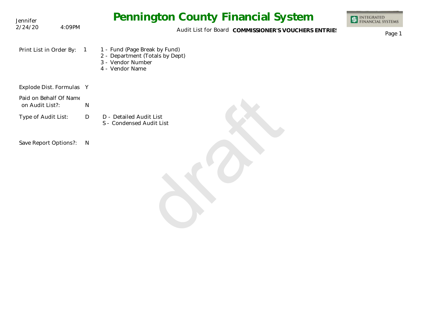| Jennifer                                  |                | <b>Pennington County Financial System</b>                                                                | <b>INTEGRATED<br/>FINANCIAL SYSTEMS</b> |
|-------------------------------------------|----------------|----------------------------------------------------------------------------------------------------------|-----------------------------------------|
| 2/24/20                                   | 4:09PM         | Audit List for Board COMMISSIONER'S VOUCHERS ENTRIES                                                     | Page 1                                  |
| Print List in Order By:                   | $\overline{1}$ | 1 - Fund (Page Break by Fund)<br>2 - Department (Totals by Dept)<br>3 - Vendor Number<br>4 - Vendor Name |                                         |
| Explode Dist. Formulas Y                  |                |                                                                                                          |                                         |
| Paid on Behalf Of Name<br>on Audit List?: | ${\sf N}$      |                                                                                                          |                                         |
| Type of Audit List:                       | D              | D - Detailed Audit List<br>S - Condensed Audit List                                                      |                                         |
| Save Report Options?:                     | $\mathsf{N}$   |                                                                                                          |                                         |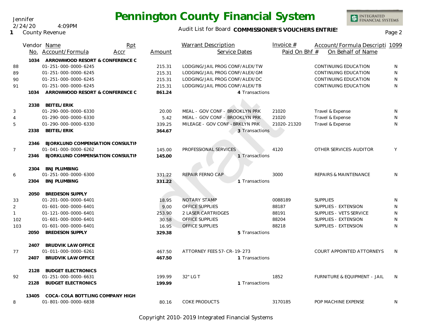### Audit List for Board COMMISSIONER'S VOUCHERS ENTRIES<br>Page 2

|                |       | Vendor Name                      | Rpt  |        | <b>Warrant Description</b>      | Invoice $#$   | Account/Formula Descripti 1099   |              |
|----------------|-------|----------------------------------|------|--------|---------------------------------|---------------|----------------------------------|--------------|
|                |       | No. Account/Formula              | Accr | Amount | Service Dates                   | Paid On Bhf # | On Behalf of Name                |              |
|                | 1034  | ARROWWOOD RESORT & CONFERENCE C  |      |        |                                 |               |                                  |              |
| 88             |       | 01-251-000-0000-6245             |      | 215.31 | LODGING/JAIL PROG CONF/ALEX/TW  |               | CONTINUING EDUCATION             | N            |
| 89             |       | 01-251-000-0000-6245             |      | 215.31 | LODGING/JAIL PROG CONF/ALEX/GM  |               | CONTINUING EDUCATION             | N            |
| 90             |       | 01-251-000-0000-6245             |      | 215.31 | LODGING/JAIL PROG CONF/ALEX/DC  |               | CONTINUING EDUCATION             | $\mathsf{N}$ |
| 91             |       | 01-251-000-0000-6245             |      | 215.31 | LODGING/JAIL PROG CONF/ALEX/TB  |               | CONTINUING EDUCATION             | N            |
|                | 1034  | ARROWWOOD RESORT & CONFERENCE C  |      | 861.24 | 4 Transactions                  |               |                                  |              |
|                | 2338  | BEITEL/ERIK                      |      |        |                                 |               |                                  |              |
| 3              |       | 01-290-000-0000-6330             |      | 20.00  | MEAL - GOV CONF - BROOKLYN PRK  | 21020         | Travel & Expense                 | N            |
| $\overline{4}$ |       | 01-290-000-0000-6330             |      | 5.42   | MEAL - GOV CONF - BROOKLYN PRK  | 21020         | Travel & Expense                 | N            |
| 5              |       | 01-290-000-0000-6330             |      | 339.25 | MILEAGE - GOV CONF - BRKLYN PRK | 21020-21320   | Travel & Expense                 | N            |
|                | 2338  | BEITEL/ERIK                      |      | 364.67 | 3 Transactions                  |               |                                  |              |
|                | 2346  | BJORKLUND COMPENSATION CONSULTIN |      |        |                                 |               |                                  |              |
| $\overline{7}$ |       | 01-041-000-0000-6262             |      | 145.00 | PROFESSIONAL SERVICES           | 4120          | OTHER SERVICES-AUDITOR           | Y            |
|                | 2346  | BJORKLUND COMPENSATION CONSULTIN |      | 145.00 | 1 Transactions                  |               |                                  |              |
|                | 2304  | <b>BNJ PLUMBING</b>              |      |        |                                 |               |                                  |              |
| 6              |       | 01-251-000-0000-6300             |      | 331.22 | REPAIR FERNO CAP                | 3000          | REPAIRS & MAINTENANCE            | N            |
|                | 2304  | <b>BNJ PLUMBING</b>              |      | 331.22 | 1 Transactions                  |               |                                  |              |
|                | 2050  | <b>BREDESON SUPPLY</b>           |      |        |                                 |               |                                  |              |
| 33             |       | 01-201-000-0000-6401             |      | 18.95  | NOTARY STAMP                    | 0088189       | <b>SUPPLIES</b>                  | N            |
| $\overline{2}$ |       | 01-601-000-0000-6401             |      | 9.00   | <b>OFFICE SUPPLIES</b>          | 88187         | SUPPLIES - EXTENSION             | N            |
| $\mathbf{1}$   |       | 01-121-000-0000-6401             |      | 253.90 | 2 LASER CARTRIDGES              | 88191         | SUPPLIES - VETS SERVICE          | N            |
| 102            |       | 01-601-000-0000-6401             |      | 30.58  | <b>OFFICE SUPPLIES</b>          | 88204         | SUPPLIES - EXTENSION             | N            |
| 103            |       | 01-601-000-0000-6401             |      | 16.95  | OFFICE SUPPLIES                 | 88218         | SUPPLIES - EXTENSION             | N            |
|                | 2050  | <b>BREDESON SUPPLY</b>           |      | 329.38 | 5 Transactions                  |               |                                  |              |
|                | 2407  | <b>BRUDVIK LAW OFFICE</b>        |      |        |                                 |               |                                  |              |
| 77             |       | 01-011-000-0000-6261             |      | 467.50 | ATTORNEY FEES 57-CR-19-273      |               | <b>COURT APPOINTED ATTORNEYS</b> | N            |
|                | 2407  | <b>BRUDVIK LAW OFFICE</b>        |      | 467.50 | 1 Transactions                  |               |                                  |              |
|                | 2128  | <b>BUDGET ELECTRONICS</b>        |      |        |                                 |               |                                  |              |
| 92             |       | 01-251-000-0000-6631             |      | 199.99 | 32" LG T                        | 1852          | FURNITURE & EQUIPMENT - JAIL     | N            |
|                | 2128  | <b>BUDGET ELECTRONICS</b>        |      | 199.99 | 1 Transactions                  |               |                                  |              |
|                | 13405 | COCA-COLA BOTTLING COMPANY HIGH  |      |        |                                 |               |                                  |              |
| 8              |       | 01-801-000-0000-6838             |      | 80.16  | <b>COKE PRODUCTS</b>            | 3170185       | POP MACHINE EXPENSE              | N            |

Copyright 2010-2019 Integrated Financial Systems

#### Jennifer 2/24/20 4:09PM

**1** County Revenue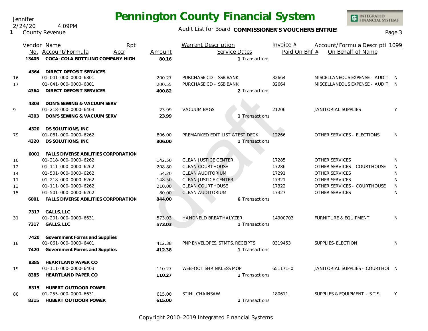Jennifer 2/24/20 4:09PM

**1** County Revenue

### Audit List for Board COMMISSIONER'S VOUCHERS ENTRIES<br>Page 3

|    |       | Vendor Name<br>Rpt                       |        | Warrant Description             | Invoice $#$   | Account/Formula Descripti 1099   |   |
|----|-------|------------------------------------------|--------|---------------------------------|---------------|----------------------------------|---|
|    |       | No. Account/Formula<br>Accr              | Amount | Service Dates                   | Paid On Bhf # | On Behalf of Name                |   |
|    | 13405 | COCA-COLA BOTTLING COMPANY HIGH          | 80.16  | 1 Transactions                  |               |                                  |   |
|    |       | 4364 DIRECT DEPOSIT SERVICES             |        |                                 |               |                                  |   |
| 16 |       | 01-041-000-0000-6801                     | 200.27 | PURCHASE CD - SSB BANK          | 32664         | MISCELLANEOUS EXPENSE - AUDIT: N |   |
| 17 |       | 01-041-000-0000-6801                     | 200.55 | PURCHASE CD - SSB BANK          | 32664         | MISCELLANEOUS EXPENSE - AUDIT: N |   |
|    | 4364  | DIRECT DEPOSIT SERVICES                  | 400.82 | 2 Transactions                  |               |                                  |   |
|    |       | 4303 DON'S SEWING & VACUUM SERV          |        |                                 |               |                                  |   |
| 9  |       | 01-218-000-0000-6403                     | 23.99  | <b>VACUUM BAGS</b>              | 21206         | <b>JANITORIAL SUPPLIES</b>       | Y |
|    | 4303  | DON'S SEWING & VACUUM SERV               | 23.99  | 1 Transactions                  |               |                                  |   |
|    |       | 4320 DS SOLUTIONS, INC                   |        |                                 |               |                                  |   |
| 79 |       | 01-061-000-0000-6262                     | 806.00 | PREMARKED EDIT LIST & TEST DECK | 12266         | OTHER SERVICES - ELECTIONS       | N |
|    | 4320  | DS SOLUTIONS, INC                        | 806.00 | 1 Transactions                  |               |                                  |   |
|    | 6001  | FALLS DIVERSE ABILITIES CORPORATION      |        |                                 |               |                                  |   |
| 10 |       | 01-218-000-0000-6262                     | 142.50 | <b>CLEAN JUSTICE CENTER</b>     | 17285         | OTHER SERVICES                   | N |
| 12 |       | 01-111-000-0000-6262                     | 208.80 | CLEAN COURTHOUSE                | 17286         | OTHER SERVICES - COURTHOUSE      | N |
| 14 |       | 01-501-000-0000-6262                     | 54.20  | <b>CLEAN AUDITORIUM</b>         | 17291         | OTHER SERVICES                   | N |
| 11 |       | 01-218-000-0000-6262                     | 148.50 | <b>CLEAN JUSTICE CENTER</b>     | 17321         | OTHER SERVICES                   | N |
| 13 |       | 01-111-000-0000-6262                     | 210.00 | <b>CLEAN COURTHOUSE</b>         | 17322         | OTHER SERVICES - COURTHOUSE      | N |
| 15 |       | 01-501-000-0000-6262                     | 80.00  | <b>CLEAN AUDITORIUM</b>         | 17327         | OTHER SERVICES                   | N |
|    |       | 6001 FALLS DIVERSE ABILITIES CORPORATION | 844.00 | 6 Transactions                  |               |                                  |   |
|    |       | 7317 GALLS, LLC                          |        |                                 |               |                                  |   |
| 31 |       | 01-201-000-0000-6631                     | 573.03 | <b>HANDNELD BREATHALYZER</b>    | 14900703      | <b>FURNITURE &amp; EQUIPMENT</b> | N |
|    |       | 7317 GALLS, LLC                          | 573.03 | 1 Transactions                  |               |                                  |   |
|    | 7420  | Government Forms and Supplies            |        |                                 |               |                                  |   |
| 18 |       | 01-061-000-0000-6401                     | 412.38 | PNP ENVELOPES, STMTS, RECEIPTS  | 0319453       | SUPPLIES-ELECTION                | N |
|    | 7420  | Government Forms and Supplies            | 412.38 | 1 Transactions                  |               |                                  |   |
|    |       | 8385 HEARTLAND PAPER CO                  |        |                                 |               |                                  |   |
| 19 |       | 01-111-000-0000-6403                     | 110.27 | WEBFOOT SHRINKLESS MOP          | 651171-0      | JANITORIAL SUPPLIES - COURTHOL N |   |
|    | 8385  | <b>HEARTLAND PAPER CO</b>                | 110.27 | 1 Transactions                  |               |                                  |   |
|    |       | 8315 HUBERT OUTDOOR POWER                |        |                                 |               |                                  |   |
| 80 |       | 01-255-000-0000-6631                     | 615.00 | STIHL CHAINSAW                  | 180611        | SUPPLIES & EQUIPMENT - S.T.S.    | Y |
|    |       | 8315 HUBERT OUTDOOR POWER                | 615.00 | 1 Transactions                  |               |                                  |   |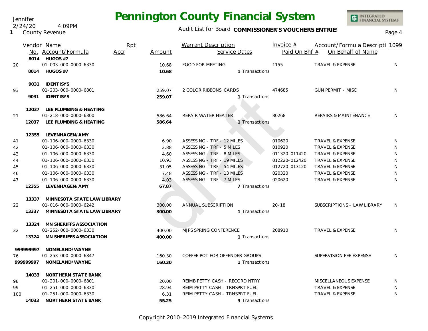Audit List for Board COMMISSIONER'S VOUCHERS ENTRIES<br>Page 4

|     |           | Vendor Name                       | Rpt  |        | <b>Warrant Description</b>     | Invoice $#$   | Account/Formula Descripti 1099   |              |
|-----|-----------|-----------------------------------|------|--------|--------------------------------|---------------|----------------------------------|--------------|
|     |           | No. Account/Formula               | Accr | Amount | Service Dates                  | Paid On Bhf # | On Behalf of Name                |              |
|     |           | 8014 HUGOS #7                     |      |        |                                |               |                                  |              |
| 20  |           | 01-003-000-0000-6330              |      | 10.68  | <b>FOOD FOR MEETING</b>        | 1155          | <b>TRAVEL &amp; EXPENSE</b>      | N            |
|     |           | 8014 HUGOS #7                     |      | 10.68  | 1 Transactions                 |               |                                  |              |
|     |           | 9031 IDENTISYS                    |      |        |                                |               |                                  |              |
| 93  |           | 01-203-000-0000-6801              |      | 259.07 | 2 COLOR RIBBONS, CARDS         | 474685        | <b>GUN PERMIT - MISC</b>         | N            |
|     |           | 9031 IDENTISYS                    |      | 259.07 | 1 Transactions                 |               |                                  |              |
|     |           | 12037 LEE PLUMBING & HEATING      |      |        |                                |               |                                  |              |
| 21  |           | 01-218-000-0000-6300              |      | 586.64 | REPAIR WATER HEATER            | 80268         | <b>REPAIRS &amp; MAINTENANCE</b> | N            |
|     | 12037     | LEE PLUMBING & HEATING            |      | 586.64 | 1 Transactions                 |               |                                  |              |
|     |           |                                   |      |        |                                |               |                                  |              |
|     | 12355     | LEVENHAGEN/AMY                    |      |        |                                |               |                                  |              |
| 41  |           | 01-106-000-0000-6330              |      | 6.90   | ASSESSING - TRF - 12 MILES     | 010620        | <b>TRAVEL &amp; EXPENSE</b>      | N            |
| 42  |           | 01-106-000-0000-6330              |      | 2.88   | ASSESSING - TRF - 5 MILES      | 010920        | <b>TRAVEL &amp; EXPENSE</b>      | N            |
| 43  |           | 01-106-000-0000-6330              |      | 4.60   | ASSESSING - TRF - 8 MILES      | 011320-011420 | <b>TRAVEL &amp; EXPENSE</b>      | N            |
| 44  |           | 01-106-000-0000-6330              |      | 10.93  | ASSESSING - TRF - 19 MILES     | 012220-012420 | TRAVEL & EXPENSE                 | ${\sf N}$    |
| 45  |           | 01-106-000-0000-6330              |      | 31.05  | ASSESSING - TRF - 54 MILES     | 012720-013120 | <b>TRAVEL &amp; EXPENSE</b>      | $\mathsf{N}$ |
| 46  |           | 01-106-000-0000-6330              |      | 7.48   | ASSESSING - TRF - 13 MILES     | 020320        | <b>TRAVEL &amp; EXPENSE</b>      | N            |
| 47  |           | 01-106-000-0000-6330              |      | 4.03   | ASSESSING - TRF - 7 MILES      | 020620        | <b>TRAVEL &amp; EXPENSE</b>      | N            |
|     | 12355     | LEVENHAGEN/AMY                    |      | 67.87  | 7 Transactions                 |               |                                  |              |
|     |           | 13337 MINNESOTA STATE LAW LIBRARY |      |        |                                |               |                                  |              |
| 22  |           | 01-016-000-0000-6242              |      | 300.00 | <b>ANNUAL SUBSCRIPTION</b>     | $20 - 18$     | SUBSCRIPTIONS - LAW LIBRARY      | N            |
|     |           | 13337 MINNESOTA STATE LAW LIBRARY |      | 300.00 | 1 Transactions                 |               |                                  |              |
|     |           | 13324 MN SHERIFFS ASSOCIATION     |      |        |                                |               |                                  |              |
| 32  |           | 01-252-000-0000-6330              |      | 400.00 | MJPS SPRING CONFERENCE         | 208910        | <b>TRAVEL &amp; EXPENSE</b>      | N            |
|     | 13324     | MN SHERIFFS ASSOCIATION           |      | 400.00 | 1 Transactions                 |               |                                  |              |
|     | 999999997 | NOMELAND/WAYNE                    |      |        |                                |               |                                  |              |
| 76  |           | 01-253-000-0000-6847              |      | 160.30 | COFFEE POT FOR OFFENDER GROUPS |               | SUPERVISION FEE EXPENSE          | N            |
|     | 999999997 | NOMELAND/WAYNE                    |      | 160.30 | 1 Transactions                 |               |                                  |              |
|     | 14033     | NORTHERN STATE BANK               |      |        |                                |               |                                  |              |
| 98  |           | 01-201-000-0000-6801              |      | 20.00  | REIMB PETTY CASH - RECORD NTRY |               | MISCELLANEOUS EXPENSE            | N            |
| 99  |           | 01-251-000-0000-6330              |      | 28.94  | REIM PETTY CASH - TRNSPRT FUEL |               | TRAVEL & EXPENSE                 | N            |
| 100 |           | 01-251-000-0000-6330              |      | 6.31   | REIM PETTY CASH - TRNSPRT FUEL |               | <b>TRAVEL &amp; EXPENSE</b>      | N            |
|     |           | 14033 NORTHERN STATE BANK         |      | 55.25  | 3 Transactions                 |               |                                  |              |
|     |           |                                   |      |        |                                |               |                                  |              |

Copyright 2010-2019 Integrated Financial Systems

### Jennifer

**1** County Revenue 2/24/20 4:09PM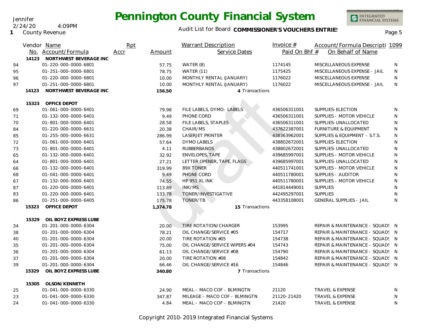Jennifer 2/24/20 4:09PM

**1** County Revenue

### Audit List for Board COMMISSIONER'S VOUCHERS ENTRIES<br>Page 5

|    | Vendor Name                     | Rpt            |       | <b>Warrant Description</b>    | Invoice $#$   | Account/Formula Descripti 1099   |              |
|----|---------------------------------|----------------|-------|-------------------------------|---------------|----------------------------------|--------------|
|    | No. Account/Formula             | Accr<br>Amount |       | Service Dates                 | Paid On Bhf # | On Behalf of Name                |              |
|    | 14123<br>NORTHWEST BEVERAGE INC |                |       |                               |               |                                  |              |
| 94 | 01-220-000-0000-6801            |                | 57.75 | WATER (8)                     | 1174145       | MISCELLANEOUS EXPENSE            | N            |
| 95 | 01-251-000-0000-6801            |                | 78.75 | WATER (11)                    | 1175425       | MISCELLANEOUS EXPENSE - JAIL     | N            |
| 96 | 01-220-000-0000-6801            |                | 10.00 | MONTHLY RENTAL (JANUARY)      | 1176022       | MISCELLANEOUS EXPENSE            | N            |
| 97 | 01-251-000-0000-6801            |                | 10.00 | MONTHLY RENTAL (JANUARY)      | 1176022       | MISCELLANEOUS EXPENSE - JAIL     | N            |
|    | NORTHWEST BEVERAGE INC<br>14123 | 156.50         |       | 4 Transactions                |               |                                  |              |
|    | OFFICE DEPOT<br>15323           |                |       |                               |               |                                  |              |
| 69 | 01-061-000-0000-6401            |                | 79.98 | FILE LABELS, DYMO- LABELS     | 436506311001  | SUPPLIES-ELECTION                | N            |
| 71 | 01-132-000-0000-6401            |                | 9.49  | PHONE CORD                    | 436506311001  | SUPPLIES - MOTOR VEHICLE         | N            |
| 70 | 01-801-000-0000-6401            |                | 28.58 | FILE LABELS, STAPLES          | 436506311001  | SUPPLIES-UNALLOCATED             | N            |
| 84 | 01-220-000-0000-6631            |                | 20.38 | CHAIR/MS                      | 437622387001  | <b>FURNITURE &amp; EQUIPMENT</b> | N            |
| 85 | 01-255-000-0000-6631            | 286.99         |       | LASERJET PRINTER              | 438363962001  | SUPPLIES & EQUIPMENT - S.T.S.    | N            |
| 72 | 01-061-000-0000-6401            |                | 57.64 | <b>DYMO LABELS</b>            | 438802672001  | SUPPLIES-ELECTION                | N            |
| 73 | 01-801-000-0000-6401            |                | 4.11  | <b>RUBBERBANDS</b>            | 438802672001  | SUPPLIES-UNALLOCATED             | $\mathsf{N}$ |
| 65 | 01-132-000-0000-6401            |                | 32.92 | <b>ENVELOPES, TAPE</b>        | 439685997001  | SUPPLIES - MOTOR VEHICLE         | N            |
| 64 | 01-801-000-0000-6401            | 27.21          |       | LETTER OPENER, TAPE, FLAGS    | 439685997001  | SUPPLIES-UNALLOCATED             | N            |
| 66 | 01-132-000-0000-6401            | 319.99         |       | 89X TONER                     | 440511741001  | SUPPLIES - MOTOR VEHICLE         | N            |
| 68 | 01-041-000-0000-6401            |                | 9.49  | PHONE CORD                    | 440511780001  | SUPPLIES - AUDITOR               | N            |
| 67 | 01-132-000-0000-6401            |                | 74.55 | HP 951 XL INK                 | 440511780001  | SUPPLIES - MOTOR VEHICLE         | $\mathsf{N}$ |
| 87 | 01-220-000-0000-6401            | 113.89         |       | INK/MS                        | 441814449001  | <b>SUPPLIES</b>                  | N            |
| 83 | 01-220-000-0000-6401            | 133.78         |       | TONER/INVESTIGATIVE           | 442495297001  | <b>SUPPLIES</b>                  | $\mathsf{N}$ |
| 86 | 01-251-000-0000-6405            | 175.78         |       | TONER/TB                      | 443358108001  | <b>GENERAL SUPPLIES - JAIL</b>   | N            |
|    | OFFICE DEPOT<br>15323           | 1,374.78       |       | 15 Transactions               |               |                                  |              |
|    | 15329<br>OIL BOYZ EXPRESS LUBE  |                |       |                               |               |                                  |              |
| 34 | 01-201-000-0000-6304            |                | 20.00 | TIRE ROTATION/CHARGER         | 153995        | REPAIR & MAINTENANCE - SQUAD! N  |              |
| 38 | 01-201-000-0000-6304            | 78.21          |       | OIL CHANGE/SERVICE #05        | 154717        | REPAIR & MAINTENANCE - SQUAD! N  |              |
| 40 | 01-201-000-0000-6304            |                | 20.00 | TIRE ROTATION #05             | 154738        | REPAIR & MAINTENANCE - SQUAD! N  |              |
| 35 | 01-201-000-0000-6304            |                | 75.00 | OIL CHANGE/SERVICE WIPERS #04 | 154743        | REPAIR & MAINTENANCE - SQUAD! N  |              |
| 36 | 01-201-000-0000-6304            |                | 61.13 | OIL CHANGE/SERVICE #08        | 154790        | REPAIR & MAINTENANCE - SQUAD! N  |              |
| 37 | 01-201-000-0000-6304            |                | 20.00 | TIRE ROTATION #08             | 154842        | REPAIR & MAINTENANCE - SQUAD! N  |              |
| 39 | 01-201-000-0000-6304            |                | 66.46 | OIL CHANGE/SERVICE #16        | 154846        | REPAIR & MAINTENANCE - SQUAD! N  |              |
|    | OIL BOYZ EXPRESS LUBE<br>15329  | 340.80         |       | 7 Transactions                |               |                                  |              |
|    | 15305<br>OLSON/KENNETH          |                |       |                               |               |                                  |              |
| 25 | 01-041-000-0000-6330            |                | 24.90 | MEAL - MACO COF - BLMINGTN    | 21120         | TRAVEL & EXPENSE                 | N            |
| 23 | 01-041-000-0000-6330            | 347.87         |       | MILEAGE - MACO COF - BLMINGTN | 21120-21420   | TRAVEL & EXPENSE                 | N            |
| 24 | 01-041-000-0000-6330            |                | 4.84  | MEAL - MACO COF - BLMINGTN    | 21420         | <b>TRAVEL &amp; EXPENSE</b>      | N            |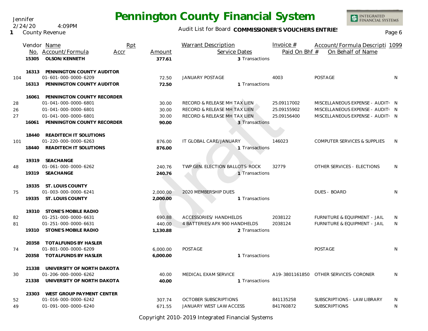Jennifer 2/24/20 4:09PM

**1** County Revenue

### Audit List for Board COMMISSIONER'S VOUCHERS ENTRIES

|     | Vendor Name |                                  | Rpt  |          | <b>Warrant Description</b>     |                | Invoice $#$   | Account/Formula Descripti 1099          |              |
|-----|-------------|----------------------------------|------|----------|--------------------------------|----------------|---------------|-----------------------------------------|--------------|
|     |             | No. Account/Formula              | Accr | Amount   | Service Dates                  |                | Paid On Bhf # | On Behalf of Name                       |              |
|     | 15305       | OLSON/KENNETH                    |      | 377.61   |                                | 3 Transactions |               |                                         |              |
|     |             | 16313 PENNINGTON COUNTY AUDITOR  |      |          |                                |                |               |                                         |              |
| 104 |             | 01-601-000-0000-6209             |      | 72.50    | <b>JANUARY POSTAGE</b>         |                | 4003          | POSTAGE                                 | N            |
|     |             | 16313 PENNINGTON COUNTY AUDITOR  |      | 72.50    |                                | 1 Transactions |               |                                         |              |
|     |             | 16061 PENNINGTON COUNTY RECORDER |      |          |                                |                |               |                                         |              |
| 28  |             | 01-041-000-0000-6801             |      | 30.00    | RECORD & RELEASE MH TAX LIEN   |                | 25.09117002   | MISCELLANEOUS EXPENSE - AUDIT( N        |              |
| 26  |             | 01-041-000-0000-6801             |      | 30.00    | RECORD & RELEASE MH TAX LIEN   |                | 25.09155902   | MISCELLANEOUS EXPENSE - AUDIT: N        |              |
| 27  |             | 01-041-000-0000-6801             |      | 30.00    | RECORD & RELEASE MH TAX LIEN   |                | 25.09156400   | MISCELLANEOUS EXPENSE - AUDIT: N        |              |
|     |             | 16061 PENNINGTON COUNTY RECORDER |      | 90.00    |                                | 3 Transactions |               |                                         |              |
|     |             | 18440 READITECH IT SOLUTIONS     |      |          |                                |                |               |                                         |              |
| 101 |             | 01-220-000-0000-6263             |      | 876.00   | IT GLOBAL CARE/JANUARY         |                | 146023        | <b>COMPUTER SERVICES &amp; SUPPLIES</b> | <sup>N</sup> |
|     |             | 18440 READITECH IT SOLUTIONS     |      | 876.00   |                                | 1 Transactions |               |                                         |              |
|     |             | 19319 SEACHANGE                  |      |          |                                |                |               |                                         |              |
| 48  |             | 01-061-000-0000-6262             |      | 240.76   | TWP GEN. ELECTION BALLOTS-ROCK |                | 32779         | OTHER SERVICES - ELECTIONS              | N            |
|     |             | 19319 SEACHANGE                  |      | 240.76   |                                | 1 Transactions |               |                                         |              |
|     |             | 19335 ST. LOUIS COUNTY           |      |          |                                |                |               |                                         |              |
| 75  |             | 01-003-000-0000-6241             |      | 2,000.00 | 2020 MEMBERSHIP DUES           |                |               | <b>DUES - BOARD</b>                     | N            |
|     |             | 19335 ST. LOUIS COUNTY           |      | 2,000.00 |                                | 1 Transactions |               |                                         |              |
|     |             | 19310 STONE'S MOBILE RADIO       |      |          |                                |                |               |                                         |              |
| 82  |             | 01-251-000-0000-6631             |      | 690.88   | ACCESSORIES/ HANDHELDS         |                | 2038122       | FURNITURE & EQUIPMENT - JAIL            | N            |
| 81  |             | 01-251-000-0000-6631             |      | 440.00   | 4 BATTERIES/APX 900 HANDHELDS  |                | 2038124       | FURNITURE & EQUIPMENT - JAIL            | N            |
|     |             | 19310 STONE'S MOBILE RADIO       |      | 1,130.88 |                                | 2 Transactions |               |                                         |              |
|     |             | 20358 TOTALFUNDS BY HASLER       |      |          |                                |                |               |                                         |              |
| 74  |             | 01-801-000-0000-6209             |      | 6,000.00 | <b>POSTAGE</b>                 |                |               | POSTAGE                                 | N            |
|     |             | 20358 TOTALFUNDS BY HASLER       |      | 6,000.00 |                                | 1 Transactions |               |                                         |              |
|     |             | 21338 UNIVERSITY OF NORTH DAKOTA |      |          |                                |                |               |                                         |              |
| 30  |             | 01-206-000-0000-6262             |      | 40.00    | MEDICAL EXAM SERVICE           |                |               | A19-3801161850 OTHER SERVICES-CORONER   | N            |
|     |             | 21338 UNIVERSITY OF NORTH DAKOTA |      | 40.00    |                                | 1 Transactions |               |                                         |              |
|     |             | 23303 WEST GROUP PAYMENT CENTER  |      |          |                                |                |               |                                         |              |
| 52  |             | 01-016-000-0000-6242             |      | 307.74   | <b>OCTOBER SUBSCRIPTIONS</b>   |                | 841135258     | SUBSCRIPTIONS - LAW LIBRARY             | N            |
| 49  |             | 01-091-000-0000-6240             |      | 671.55   | JANUARY WEST LAW ACCESS        |                | 841760872     | <b>SUBSCRIPTIONS</b>                    | N            |

Copyright 2010-2019 Integrated Financial Systems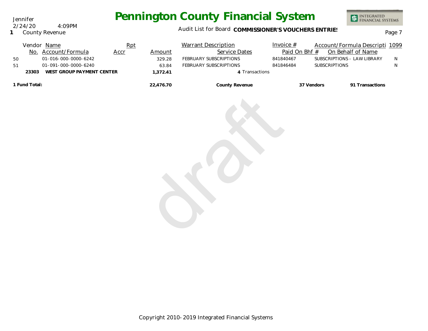Jennifer 2/24/20 4:09PM

**1** County Revenue

### Audit List for Board COMMISSIONER'S VOUCHERS ENTRIES<br>Page 7

| 50<br>51 |               | Vendor Name<br>No. Account/Formula<br>01-016-000-0000-6242<br>01-091-000-0000-6240 | Rpt<br>Accr | Amount<br>329.28<br>63.84 | <b>Warrant Description</b><br>Service Dates<br>FEBRUARY SUBSCRIPTIONS<br>FEBRUARY SUBSCRIPTIONS | Invoice $#$<br>Paid On Bhf #<br>841840467<br>841846484 | Account/Formula Descripti 1099<br>On Behalf of Name<br>SUBSCRIPTIONS - LAW LIBRARY<br>SUBSCRIPTIONS | N<br>N |
|----------|---------------|------------------------------------------------------------------------------------|-------------|---------------------------|-------------------------------------------------------------------------------------------------|--------------------------------------------------------|-----------------------------------------------------------------------------------------------------|--------|
|          | 23303         | WEST GROUP PAYMENT CENTER                                                          |             | 1,372.41                  | 4 Transactions                                                                                  |                                                        |                                                                                                     |        |
|          | 1 Fund Total: |                                                                                    |             | 22,476.70                 | County Revenue                                                                                  |                                                        | 91 Transactions<br>37 Vendors                                                                       |        |
|          |               |                                                                                    |             |                           |                                                                                                 |                                                        |                                                                                                     |        |
|          |               |                                                                                    |             |                           |                                                                                                 |                                                        |                                                                                                     |        |
|          |               |                                                                                    |             |                           |                                                                                                 |                                                        |                                                                                                     |        |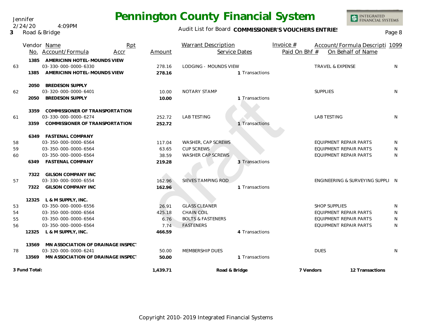Audit List for Board COMMISSIONER'S VOUCHERS ENTRIES

INTEGRATED<br>FINANCIAL SYSTEMS

|    |               | Rpt<br>Vendor Name<br>No. Account/Formula<br>Accr | Amount   | <b>Warrant Description</b><br>Service Dates | Invoice $#$<br>Account/Formula Descripti 1099<br>Paid On Bhf #<br>On Behalf of Name |   |
|----|---------------|---------------------------------------------------|----------|---------------------------------------------|-------------------------------------------------------------------------------------|---|
|    | 1385          | AMERICINN HOTEL-MOUNDS VIEW                       |          |                                             |                                                                                     |   |
| 63 |               | 03-330-000-0000-6330                              | 278.16   | <b>LODGING - MOUNDS VIEW</b>                | <b>TRAVEL &amp; EXPENSE</b>                                                         | N |
|    | 1385          | AMERICINN HOTEL-MOUNDS VIEW                       | 278.16   | 1 Transactions                              |                                                                                     |   |
|    |               | 2050 BREDESON SUPPLY                              |          |                                             |                                                                                     |   |
| 62 |               | 03-320-000-0000-6401                              | 10.00    | NOTARY STAMP                                | <b>SUPPLIES</b>                                                                     | N |
|    | 2050          | <b>BREDESON SUPPLY</b>                            | 10.00    | 1 Transactions                              |                                                                                     |   |
|    | 3359          | <b>COMMISSIONER OF TRANSPORTATION</b>             |          |                                             |                                                                                     |   |
| 61 |               | 03-330-000-0000-6274                              | 252.72   | <b>LAB TESTING</b>                          | <b>LAB TESTING</b>                                                                  | N |
|    | 3359          | <b>COMMISSIONER OF TRANSPORTATION</b>             | 252.72   | 1 Transactions                              |                                                                                     |   |
|    |               | 6349 FASTENAL COMPANY                             |          |                                             |                                                                                     |   |
| 58 |               | 03-350-000-0000-6564                              | 117.04   | WASHER, CAP SCREWS                          | EQUIPMENT REPAIR PARTS                                                              | N |
| 59 |               | 03-350-000-0000-6564                              | 63.65    | <b>CUP SCREWS</b>                           | <b>EQUIPMENT REPAIR PARTS</b>                                                       | N |
| 60 |               | 03-350-000-0000-6564                              | 38.59    | WASHER CAP SCREWS                           | <b>EQUIPMENT REPAIR PARTS</b>                                                       | N |
|    |               | 6349 FASTENAL COMPANY                             | 219.28   | 3 Transactions                              |                                                                                     |   |
|    | 7322          | <b>GILSON COMPANY INC</b>                         |          |                                             |                                                                                     |   |
| 57 |               | 03-330-000-0000-6554                              | 162.96   | <b>SIEVES TAMPING ROD</b>                   | ENGINEERING & SURVEYING SUPPLI N                                                    |   |
|    | 7322          | <b>GILSON COMPANY INC</b>                         | 162.96   | 1 Transactions                              |                                                                                     |   |
|    |               | 12325 L & M SUPPLY, INC.                          |          |                                             |                                                                                     |   |
| 53 |               | 03-350-000-0000-6556                              | 26.91    | <b>GLASS CLEANER</b>                        | <b>SHOP SUPPLIES</b>                                                                | N |
| 54 |               | 03-350-000-0000-6564                              | 425.18   | <b>CHAIN COIL</b>                           | EQUIPMENT REPAIR PARTS                                                              | N |
| 55 |               | 03-350-000-0000-6564                              | 6.76     | <b>BOLTS &amp; FASTENERS</b>                | EQUIPMENT REPAIR PARTS                                                              | N |
| 56 |               | 03-350-000-0000-6564                              | 7.74     | <b>FASTENERS</b>                            | EQUIPMENT REPAIR PARTS                                                              | N |
|    | 12325         | L & M SUPPLY, INC.                                | 466.59   | 4 Transactions                              |                                                                                     |   |
|    | 13569         | MN ASSOCIATION OF DRAINAGE INSPECT                |          |                                             |                                                                                     |   |
| 78 |               | 03-320-000-0000-6241                              | 50.00    | MEMBERSHIP DUES                             | <b>DUES</b>                                                                         | N |
|    | 13569         | MN ASSOCIATION OF DRAINAGE INSPECT                | 50.00    | 1 Transactions                              |                                                                                     |   |
|    | 3 Fund Total: |                                                   | 1,439.71 | Road & Bridge                               | 7 Vendors<br>12 Transactions                                                        |   |

#### **3** Road & Bridge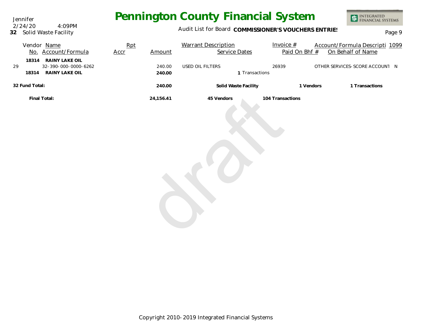Jennifer **32** Solid Waste Facility 2/24/20 4:09PM

### Audit List for Board COMMISSIONER'S VOUCHERS ENTRIES<br>Page 9

| Vendor Name<br>No. Account/Formula                                               | Rpt<br>Accr | Amount           | <b>Warrant Description</b><br>Service Dates | Invoice $#$<br>Paid On Bhf # | Account/Formula Descripti 1099<br>On Behalf of Name |
|----------------------------------------------------------------------------------|-------------|------------------|---------------------------------------------|------------------------------|-----------------------------------------------------|
| RAINY LAKE OIL<br>18314<br>32-390-000-0000-6262<br>29<br>RAINY LAKE OIL<br>18314 |             | 240.00<br>240.00 | USED OIL FILTERS<br>1 Transactions          | 26939                        | OTHER SERVICES-SCORE ACCOUNT N                      |
| 32 Fund Total:                                                                   |             | 240.00           | Solid Waste Facility                        | 1 Vendors                    | 1 Transactions                                      |
| Final Total:                                                                     |             | 24,156.41        | 45 Vendors                                  | 104 Transactions             |                                                     |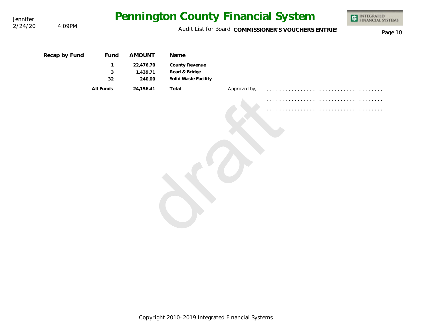| Jennifer | 4:09PM        | Pennington County Financial System                              | <b>INTEGRATED</b><br>FINANCIAL SYSTEMS |                                                                 |              |  |  |
|----------|---------------|-----------------------------------------------------------------|----------------------------------------|-----------------------------------------------------------------|--------------|--|--|
| 2/24/20  |               | Audit List for Board COMMISSIONER'S VOUCHERS ENTRIES<br>Page 10 |                                        |                                                                 |              |  |  |
|          | Recap by Fund | <b>Fund</b><br>$\mathbf{1}$<br>3                                | <b>AMOUNT</b><br>22,476.70<br>1,439.71 | Name<br>County Revenue<br>Road & Bridge<br>Solid Waste Facility |              |  |  |
|          |               | 32<br>All Funds                                                 | 240.00<br>24,156.41                    | Total                                                           | Approved by, |  |  |
|          |               |                                                                 |                                        |                                                                 |              |  |  |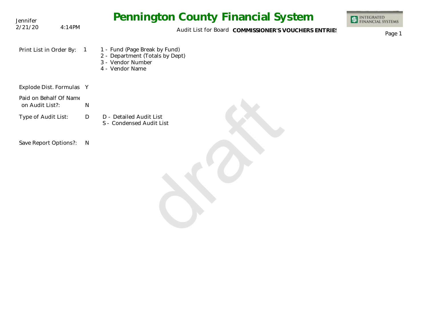| Jennifer                                  |                | <b>Pennington County Financial System</b>                                                                | <b>INTEGRATED<br/>FINANCIAL SYSTEMS</b> |
|-------------------------------------------|----------------|----------------------------------------------------------------------------------------------------------|-----------------------------------------|
| 2/21/20                                   | 4:14PM         | Audit List for Board COMMISSIONER'S VOUCHERS ENTRIES                                                     | Page 1                                  |
| Print List in Order By:                   | $\overline{1}$ | 1 - Fund (Page Break by Fund)<br>2 - Department (Totals by Dept)<br>3 - Vendor Number<br>4 - Vendor Name |                                         |
| Explode Dist. Formulas Y                  |                |                                                                                                          |                                         |
| Paid on Behalf Of Name<br>on Audit List?: | ${\sf N}$      |                                                                                                          |                                         |
| Type of Audit List:                       | D              | D - Detailed Audit List<br>S - Condensed Audit List                                                      |                                         |
| Save Report Options?:                     | $\mathsf{N}$   |                                                                                                          |                                         |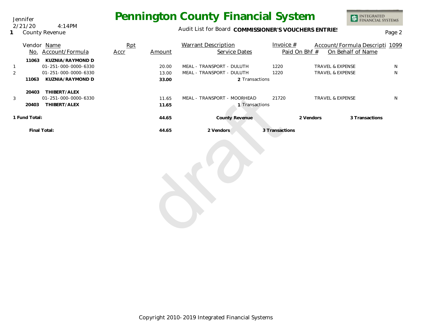Jennifer 2/21/20 4:14PM

**1** County Revenue

### Audit List for Board COMMISSIONER'S VOUCHERS ENTRIES<br>Page 2

|                | No.   | Vendor Name<br>Account/Formula | <b>Rpt</b><br>Accr | Amount | <b>Warrant Description</b><br><b>Service Dates</b> | Invoice $#$    | Paid On Bhf # | Account/Formula Descripti 1099<br>On Behalf of Name |   |
|----------------|-------|--------------------------------|--------------------|--------|----------------------------------------------------|----------------|---------------|-----------------------------------------------------|---|
|                | 11063 | KUZNIA/RAYMOND D               |                    |        |                                                    |                |               |                                                     |   |
|                |       | 01-251-000-0000-6330           |                    | 20.00  | MEAL - TRANSPORT - DULUTH                          | 1220           |               | <b>TRAVEL &amp; EXPENSE</b>                         | N |
| $\overline{2}$ |       | 01-251-000-0000-6330           |                    | 13.00  | MEAL - TRANSPORT - DULUTH                          | 1220           |               | <b>TRAVEL &amp; EXPENSE</b>                         | N |
|                | 11063 | KUZNIA/RAYMOND D               |                    | 33.00  | 2 Transactions                                     |                |               |                                                     |   |
|                | 20403 | THIBERT/ALEX                   |                    |        |                                                    |                |               |                                                     |   |
| 3              |       | 01-251-000-0000-6330           |                    | 11.65  | MEAL - TRANSPORT - MOORHEAD                        | 21720          |               | <b>TRAVEL &amp; EXPENSE</b>                         | N |
|                | 20403 | THIBERT/ALEX                   |                    | 11.65  | Transactions                                       |                |               |                                                     |   |
| 1 Fund Total:  |       |                                |                    | 44.65  | County Revenue                                     |                | 2 Vendors     | 3 Transactions                                      |   |
|                |       | Final Total:                   |                    | 44.65  | 2 Vendors                                          | 3 Transactions |               |                                                     |   |